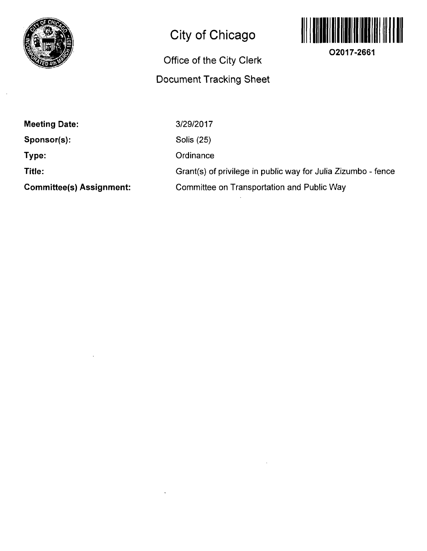

# **City of Chicago**

# **Office Of the City Clerk Document Tracking Sheet**



**O2017-2661** 

**Meeting Date: Sponsor(s): Type: Title: Committee(s) Assignment:**  3/29/2017 Solis (25) **Ordinance** Grant(s) of privilege in public way for Julia Zizumbo - fence Committee on Transportation and Public Way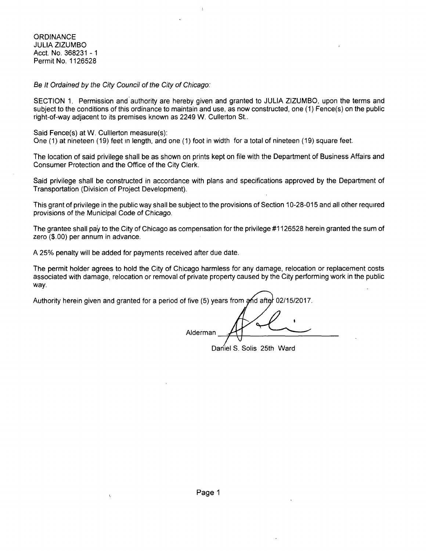**ORDINANCE** JULIA ZIZUMBO Acct. No. 368231 -1 Permit No. 1126528

Be It Ordained by the City Council of the City of Chicago:

SECTION 1. Permission and authority are hereby given and granted to JULIA ZIZUMBO, upon the terms and subject to the conditions of this ordinance to maintain and use, as now constructed, one (1) Fence(s) on the public right-of-way adjacent to its premises known as 2249 W. Cullerton St..

Said Fence(s) at W, Culllerton measure(s):

One (1) at nineteen (19) feet in length, and one (1) foot in width for a total of nineteen (19) square feet.

The location of said privilege shall be as shown on prints kept on file with the Department of Business Affairs and Consumer Protection and the Office of the City Clerk.

Said privilege shall be constructed in accordance with plans and specifications approved by the Department of Transportation (Division of Project Development).

This grant of privilege in the public way shall be subject to the provisions of Section 10-28-015 and all other required provisions of the Municipal Code of Chicago.

The grantee shall pay to the City of Chicago as compensation for the privilege #1126528 herein granted the sum of zero (\$.00) per annum in advance.

A 25% penalty will be added for payments received after due date.

The permit holder agrees to hold the City of Chicago harmless for any damage, relocation or replacement costs associated with damage, relocation or removal of private property caused by the City performing work in the public way.

Authority herein given and granted for a period of five (5) years from and after 02/15/2017.

Alderman

Daniel S. Solis 25th Ward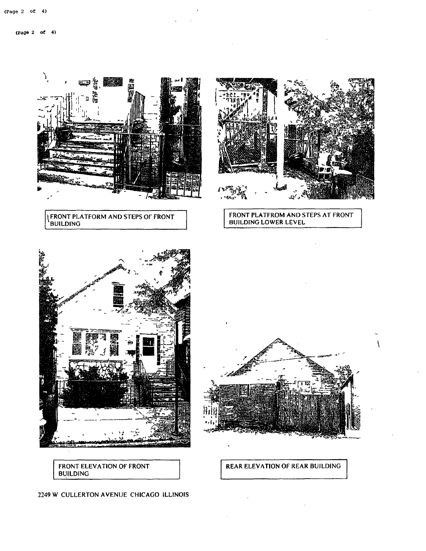(Page 2 of 4)

λ 58. r 19<br>|<br>|<br>|}

**'** FRONT PLATFORM AND STEPS OF FRONT 'BUILDING





FRONT PLATFROM AND STEPS AT FRONT BUILDING LOWER LEVEL



 $\overline{\phantom{a}}$ 

REAR ELEVATION OF REAR BUILDING

FRONT ELEVATION OF FRONT BUILDING

#### 2249 W CULLERTON AVENUE CHICAGO ILLINOIS